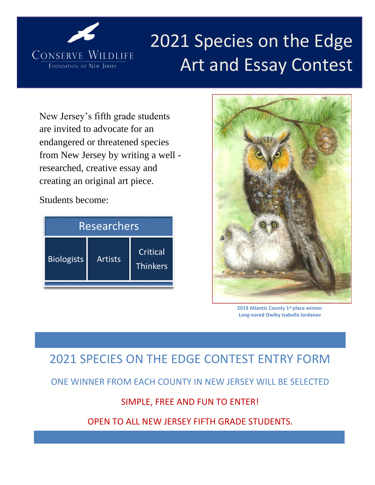

# 2021 Species on the Edge Art and Essay Contest

New Jersey's fifth grade students are invited to advocate for an endangered or threatened species from New Jersey by writing a well researched, creative essay and creating an original art piece.

Students become:

| <b>Researchers</b> |                |                             |
|--------------------|----------------|-----------------------------|
| <b>Biologists</b>  | <b>Artists</b> | Critical<br><b>Thinkers</b> |



**2019 Atlantic County 1st place winner Long-eared Owlby Isabella Iordanov**

# 2021 SPECIES ON THE EDGE CONTEST ENTRY FORM

ONE WINNER FROM EACH COUNTY IN NEW JERSEY WILL BE SELECTED

## SIMPLE, FREE AND FUN TO ENTER!

OPEN TO ALL NEW JERSEY FIFTH GRADE STUDENTS.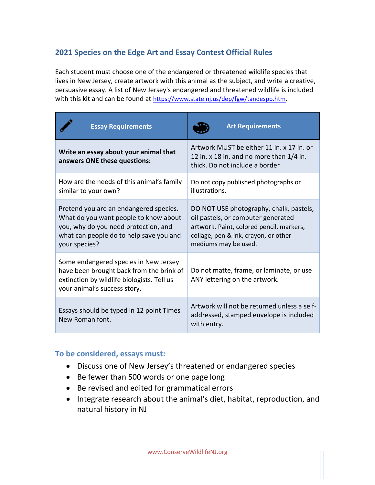### **2021 Species on the Edge Art and Essay Contest Official Rules**

Each student must choose one of the endangered or threatened wildlife species that lives in New Jersey, create artwork with this animal as the subject, and write a creative, persuasive essay. A list of New Jersey's endangered and threatened wildlife is included with this kit and can be found at <https://www.state.nj.us/dep/fgw/tandespp.htm>.

| <b>Essay Requirements</b>                                                                                                                                                           | <b>Art Requirements</b>                                                                                                                                                                   |  |
|-------------------------------------------------------------------------------------------------------------------------------------------------------------------------------------|-------------------------------------------------------------------------------------------------------------------------------------------------------------------------------------------|--|
| Write an essay about your animal that<br>answers ONE these questions:                                                                                                               | Artwork MUST be either 11 in, x 17 in, or<br>12 in. x 18 in. and no more than $1/4$ in.<br>thick. Do not include a border                                                                 |  |
| How are the needs of this animal's family<br>similar to your own?                                                                                                                   | Do not copy published photographs or<br>illustrations.                                                                                                                                    |  |
| Pretend you are an endangered species.<br>What do you want people to know about<br>you, why do you need protection, and<br>what can people do to help save you and<br>your species? | DO NOT USE photography, chalk, pastels,<br>oil pastels, or computer generated<br>artwork. Paint, colored pencil, markers,<br>collage, pen & ink, crayon, or other<br>mediums may be used. |  |
| Some endangered species in New Jersey<br>have been brought back from the brink of<br>extinction by wildlife biologists. Tell us<br>your animal's success story.                     | Do not matte, frame, or laminate, or use<br>ANY lettering on the artwork.                                                                                                                 |  |
| Essays should be typed in 12 point Times<br>New Roman font.                                                                                                                         | Artwork will not be returned unless a self-<br>addressed, stamped envelope is included<br>with entry.                                                                                     |  |

#### **To be considered, essays must:**

- Discuss one of New Jersey's threatened or endangered species
- Be fewer than 500 words or one page long
- Be revised and edited for grammatical errors
- Integrate research about the animal's diet, habitat, reproduction, and natural history in NJ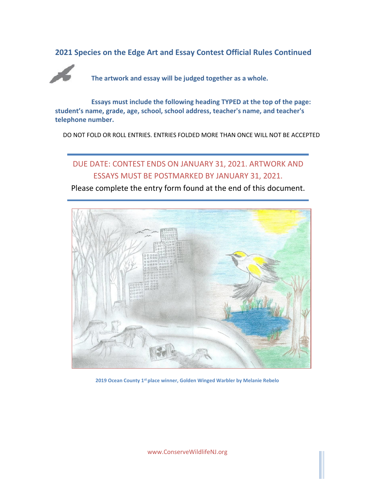**2021 Species on the Edge Art and Essay Contest Official Rules Continued**



**The artwork and essay will be judged together as a whole.**

**Essays must include the following heading TYPED at the top of the page: student's name, grade, age, school, school address, teacher's name, and teacher's telephone number.**

DO NOT FOLD OR ROLL ENTRIES. ENTRIES FOLDED MORE THAN ONCE WILL NOT BE ACCEPTED

## DUE DATE: CONTEST ENDS ON JANUARY 31, 2021. ARTWORK AND ESSAYS MUST BE POSTMARKED BY JANUARY 31, 2021.

Please complete the entry form found at the end of this document.



**2019 Ocean County 1st place winner, Golden Winged Warbler by Melanie Rebelo**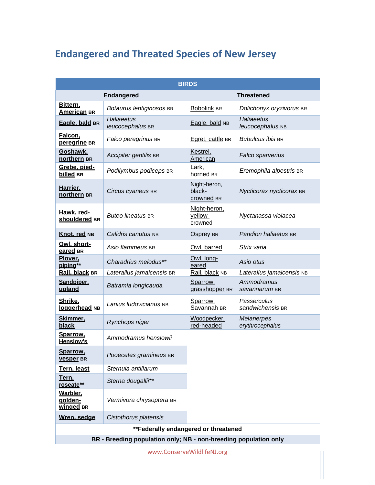# **Endangered and Threated Species of New Jersey**

| <b>BIRDS</b>                     |                                                                  |                                      |                                      |  |
|----------------------------------|------------------------------------------------------------------|--------------------------------------|--------------------------------------|--|
|                                  | <b>Endangered</b>                                                | <b>Threatened</b>                    |                                      |  |
| Bittern.<br><b>American BR</b>   | Botaurus lentiginosos BR                                         | <b>Bobolink BR</b>                   | Dolichonyx oryzivorus BR             |  |
| Eagle, bald BR                   | Haliaeetus<br>leucocephalus BR                                   | Eagle, bald NB                       | Haliaeetus<br>leucocephalus NB       |  |
| Falcon.<br><b>perearine</b> BR   | Falco peregrinus BR                                              | Egret, cattle BR                     | <b>Bubulcus ibis BR</b>              |  |
| Goshawk.<br>northern BR          | Accipiter gentilis BR                                            | Kestrel,<br>American                 | Falco sparverius                     |  |
| Grebe, pied-<br>billed BR        | Podilymbus podiceps BR                                           | Lark,<br>horned BR                   | Eremophila alpestris BR              |  |
| Harrier.<br>northern BR          | Circus cyaneus BR                                                | Night-heron,<br>black-<br>crowned BR | Nycticorax nycticorax BR             |  |
| Hawk. red-<br>shouldered BR      | <b>Buteo lineatus BR</b>                                         | Night-heron,<br>yellow-<br>crowned   | Nyctanassa violacea                  |  |
| Knot. red NB                     | Calidris canutus NB                                              | Osprey BR                            | Pandion haliaetus BR                 |  |
| Owl. short-<br>eared BR          | Asio flammeus BR                                                 | Owl, barred                          | Strix varia                          |  |
| Plover.<br>piping**              | Charadrius melodus**                                             | Owl, long-<br>eared                  | Asio otus                            |  |
| Rail. black BR                   | Laterallus jamaicensis BR                                        | Rail, black NB                       | Laterallus jamaicensis NB            |  |
| Sandpiper.<br>upland             | Batramia longicauda                                              | Sparrow,<br>grasshopper BR           | Ammodramus<br>savannarum BR          |  |
| Shrike.<br>loggerhead NB         | Lanius Iudovicianus NB                                           | Sparrow,<br>Savannah BR              | Passerculus<br>sandwichensis BR      |  |
| Skimmer.<br>black                | Rynchops niger                                                   | Woodpecker,<br>red-headed            | <b>Melanerpes</b><br>erythrocephalus |  |
| Sparrow.<br><b>Henslow's</b>     | Ammodramus henslowii                                             |                                      |                                      |  |
| Sparrow.<br><b>Vesper</b> BR     | Pooecetes gramineus BR                                           |                                      |                                      |  |
| Tern. least                      | Sternula antillarum                                              |                                      |                                      |  |
| Tern.<br>roseate**               | Sterna dougallii**                                               |                                      |                                      |  |
| Warbler.<br>aolden-<br>winged BR | Vermivora chrysoptera BR                                         |                                      |                                      |  |
| Wren. sedae                      | Cistothorus platensis                                            |                                      |                                      |  |
|                                  | **Federally endangered or threatened                             |                                      |                                      |  |
|                                  | BR - Breeding population only; NB - non-breeding population only |                                      |                                      |  |
|                                  |                                                                  |                                      |                                      |  |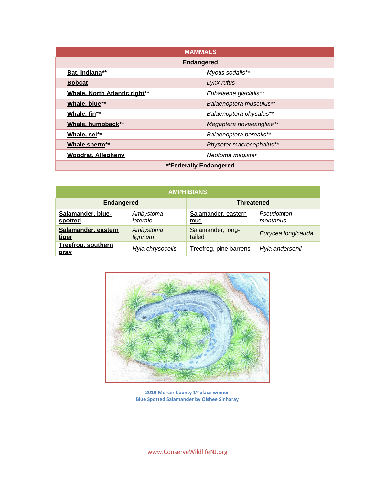| <b>MAMMALS</b>                |                          |  |
|-------------------------------|--------------------------|--|
| <b>Endangered</b>             |                          |  |
| Bat. Indiana**                | Myotis sodalis**         |  |
| <b>Bobcat</b>                 | Lynx rufus               |  |
| Whale. North Atlantic right** | Eubalaena glacialis**    |  |
| Whale, blue**                 | Balaenoptera musculus**  |  |
| Whale. fin**                  | Balaenoptera physalus**  |  |
| Whale, humpback**             | Megaptera novaeangliae** |  |
| Whale, sei**                  | Balaenoptera borealis**  |  |
| Whale.sperm**                 | Physeter macrocephalus** |  |
| <b>Woodrat. Allegheny</b>     | Neotoma magister         |  |
| <b>**Federally Endangered</b> |                          |  |

| <b>AMPHIBIANS</b>                 |                       |                             |                          |
|-----------------------------------|-----------------------|-----------------------------|--------------------------|
| <b>Endangered</b>                 |                       | <b>Threatened</b>           |                          |
| Salamander, blue-<br>spotted      | Ambystoma<br>laterale | Salamander, eastern<br>mud  | Pseudotriton<br>montanus |
| Salamander, eastern<br>tiger      | Ambystoma<br>tigrinum | Salamander, long-<br>tailed | Eurycea longicauda       |
| Treefrog, southern<br><u>arav</u> | Hyla chrysocelis      | Treefrog, pine barrens      | Hyla andersonii          |



**2019 Mercer County 1st place winner Blue Spotted Salamander by Oishee Sinharay**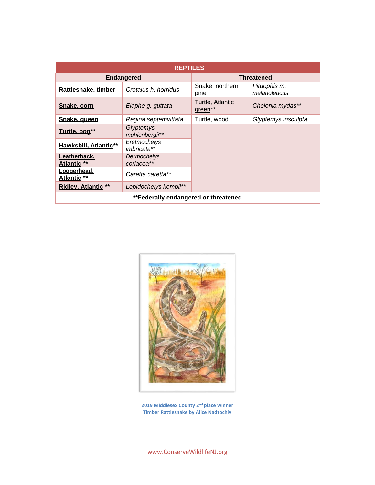| <b>REPTILES</b>                      |                                    |                             |                              |  |
|--------------------------------------|------------------------------------|-----------------------------|------------------------------|--|
|                                      | <b>Endangered</b>                  | <b>Threatened</b>           |                              |  |
| Rattlesnake, timber                  | Crotalus h. horridus               | Snake, northern<br>pine     | Pituophis m.<br>melanoleucus |  |
| Snake, corn                          | Elaphe g. guttata                  | Turtle, Atlantic<br>green** | Chelonia mydas**             |  |
| Snake, queen                         | Regina septemvittata               | Turtle, wood                | Glyptemys insculpta          |  |
| <u>Turtle, bog</u> **                | Glyptemys<br>muhlenbergii**        |                             |                              |  |
| <b>Hawksbill, Atlantic**</b>         | Eretmochelys<br><i>imbricata**</i> |                             |                              |  |
| Leatherback.<br>Atlantic **          | Dermochelys<br>coriacea**          |                             |                              |  |
| Loggerhead.<br><b>Atlantic **</b>    | Caretta caretta**                  |                             |                              |  |
| <b>Ridley, Atlantic **</b>           | Lepidochelys kempii**              |                             |                              |  |
| **Federally endangered or threatened |                                    |                             |                              |  |



**2019 Middlesex County 2nd place winner Timber Rattlesnake by Alice Nadtochiy**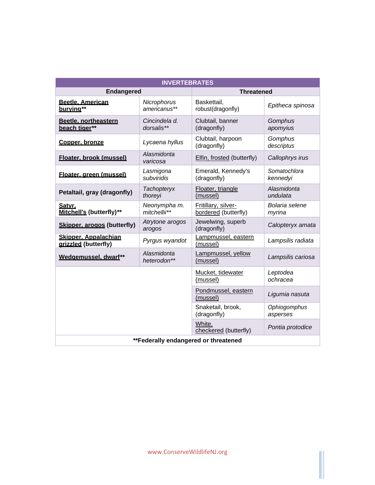| <b>INVERTEBRATES</b>                                |                               |                                             |                          |  |
|-----------------------------------------------------|-------------------------------|---------------------------------------------|--------------------------|--|
|                                                     | <b>Endangered</b>             |                                             | <b>Threatened</b>        |  |
| <b>Beetle, American</b><br>burving**                | Nicrophorus<br>americanus**   | Baskettail,<br>robust(dragonfly)            | Epitheca spinosa         |  |
| Beetle, northeastern<br>beach tiger**               | Cincindela d.<br>dorsalis**   | Clubtail, banner<br>(dragonfly)             | Gomphus<br>apomyius      |  |
| Copper, bronze                                      | Lycaena hyllus                | Clubtail, harpoon<br>(dragonfly)            | Gomphus<br>descriptus    |  |
| Floater, brook (mussel)                             | Alasmidonta<br>varicosa       | Elfin, frosted (butterfly)                  | Callophrys irus          |  |
| Floater, green (mussel)                             | Lasmigona<br>subviridis       | Emerald, Kennedy's<br>(dragonfly)           | Somatochlora<br>kennedyi |  |
| Petaltail, gray (dragonfly)                         | <b>Tachopteryx</b><br>thoreyi | Floater, triangle<br>(mussel)               | Alasmidonta<br>undulata  |  |
| Satvr.<br>Mitchell's (butterfly)**                  | Neonympha m.<br>mitchellii**  | Fritillary, silver-<br>bordered (butterfly) | Bolaria selene<br>myrina |  |
| Skipper, arogos (butterfly)                         | Atrytone arogos<br>arogos     | Jewelwing, superb<br>(dragonfly)            | Calopteryx amata         |  |
| <b>Skipper, Appalachian</b><br>arizzled (butterfly) | Pyrgus wyandot                | Lampmussel, eastern<br>(mussel)             | Lampsilis radiata        |  |
| Wedgemussel. dwarf**                                | Alasmidonta<br>heterodon**    | Lampmussel, yellow<br>(mussel)              | Lampsilis cariosa        |  |
|                                                     |                               | Mucket, tidewater<br>(mussel)               | Leptodea<br>ochracea     |  |
|                                                     |                               | Pondmussel, eastern<br>(mussel)             | Ligumia nasuta           |  |
|                                                     |                               | Snaketail, brook,<br>(dragonfly)            | Ophiogomphus<br>asperses |  |
|                                                     |                               | White,<br>checkered (butterfly)             | Pontia protodice         |  |
| **Federally endangered or threatened                |                               |                                             |                          |  |